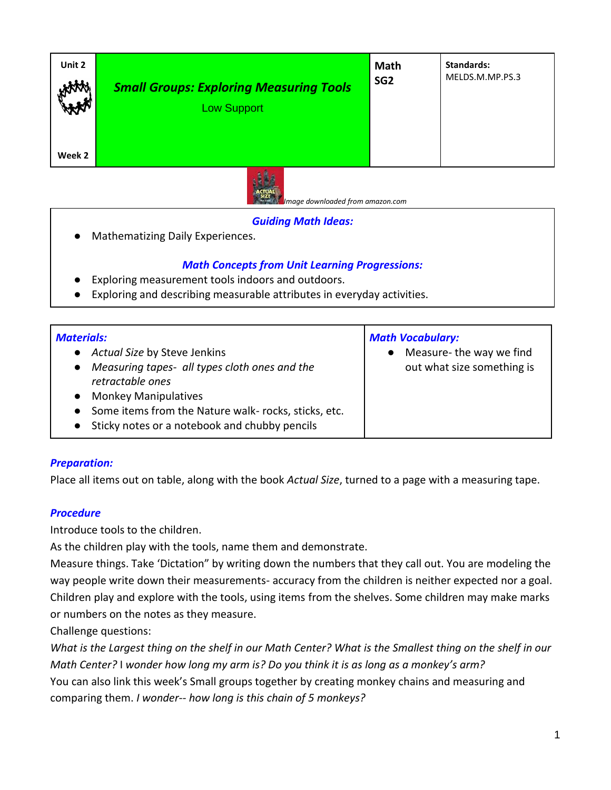| Unit 2 | <b>Small Groups: Exploring Measuring Tools</b> | Math            | <b>Standards:</b> |
|--------|------------------------------------------------|-----------------|-------------------|
| HAAA   | <b>Low Support</b>                             | SG <sub>2</sub> | MELDS.M.MP.PS.3   |
| Week 2 | <b>Sec. 14</b>                                 |                 |                   |



 *Image downloaded from amazon.com*

### *Guiding Math Ideas:*

Mathematizing Daily Experiences.

# *Math Concepts from Unit Learning Progressions:*

- Exploring measurement tools indoors and outdoors.
- Exploring and describing measurable attributes in everyday activities.

| <b>Materials:</b>                                          | <b>Math Vocabulary:</b>    |  |
|------------------------------------------------------------|----------------------------|--|
| • Actual Size by Steve Jenkins                             | Measure- the way we find   |  |
| Measuring tapes- all types cloth ones and the<br>$\bullet$ | out what size something is |  |
| retractable ones                                           |                            |  |
| <b>Monkey Manipulatives</b>                                |                            |  |
| • Some items from the Nature walk- rocks, sticks, etc.     |                            |  |
| Sticky notes or a notebook and chubby pencils              |                            |  |

## *Preparation:*

Place all items out on table, along with the book *Actual Size*, turned to a page with a measuring tape.

#### *Procedure*

Introduce tools to the children.

As the children play with the tools, name them and demonstrate.

Measure things. Take 'Dictation" by writing down the numbers that they call out. You are modeling the way people write down their measurements- accuracy from the children is neither expected nor a goal. Children play and explore with the tools, using items from the shelves. Some children may make marks or numbers on the notes as they measure.

Challenge questions:

*What is the Largest thing on the shelf in our Math Center? What is the Smallest thing on the shelf in our Math Center?* I *wonder how long my arm is? Do you think it is as long as a monkey's arm?* You can also link this week's Small groups together by creating monkey chains and measuring and comparing them. *I wonder-- how long is this chain of 5 monkeys?*